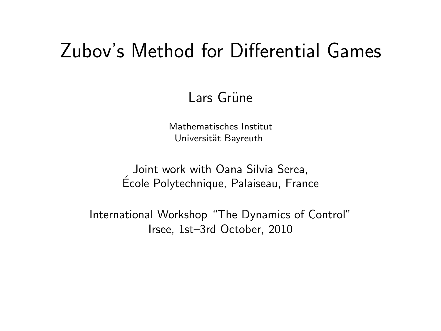#### Zubov's Method for Differential Games

#### Lars Grüne

Mathematisches Institut Universität Bayreuth

Joint work with Oana Silvia Serea, Ecole Polytechnique, Palaiseau, France ´

International Workshop "The Dynamics of Control" Irsee, 1st–3rd October, 2010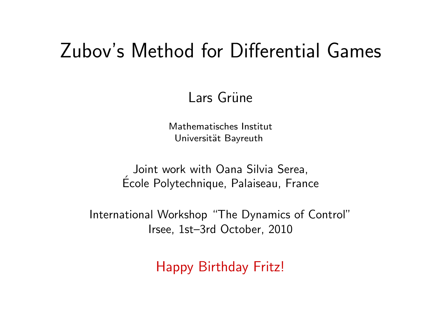#### Zubov's Method for Differential Games

#### Lars Grüne

Mathematisches Institut Universität Bayreuth

Joint work with Oana Silvia Serea, Ecole Polytechnique, Palaiseau, France ´

International Workshop "The Dynamics of Control" Irsee, 1st–3rd October, 2010

Happy Birthday Fritz!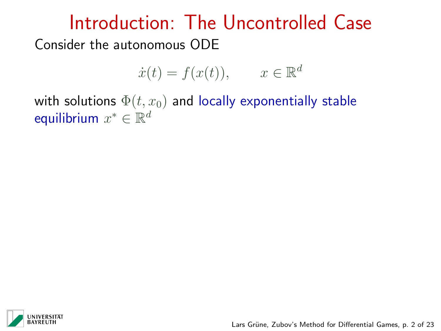$$
\dot{x}(t) = f(x(t)), \qquad x \in \mathbb{R}^d
$$

with solutions  $\Phi(t, x_0)$  and locally exponentially stable equilibrium  $x^* \in \mathbb{R}^d$ 

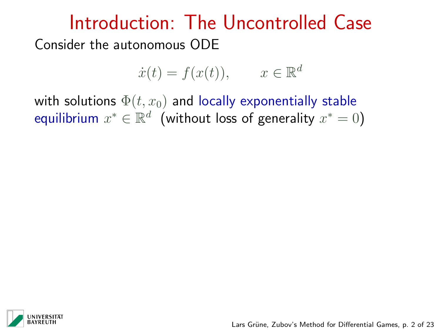$$
\dot{x}(t) = f(x(t)), \qquad x \in \mathbb{R}^d
$$

with solutions  $\Phi(t, x_0)$  and locally exponentially stable equilibrium  $x^*\in\mathbb{R}^d$  (without loss of generality  $x^*=0)$ 

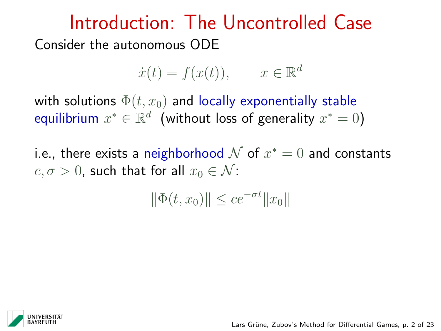$$
\dot{x}(t) = f(x(t)), \qquad x \in \mathbb{R}^d
$$

with solutions  $\Phi(t, x_0)$  and locally exponentially stable equilibrium  $x^*\in\mathbb{R}^d$  (without loss of generality  $x^*=0)$ 

i.e., there exists a neighborhood  ${\cal N}$  of  $x^* = 0$  and constants  $c, \sigma > 0$ , such that for all  $x_0 \in \mathcal{N}$ :

$$
\|\Phi(t, x_0)\| \le c e^{-\sigma t} \|x_0\|
$$

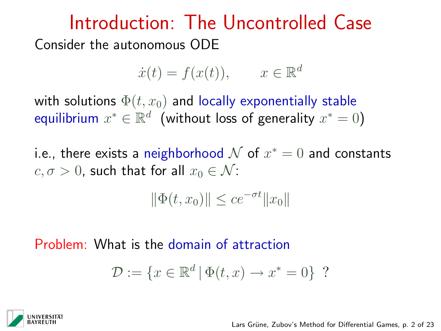$$
\dot{x}(t) = f(x(t)), \qquad x \in \mathbb{R}^d
$$

with solutions  $\Phi(t, x_0)$  and locally exponentially stable equilibrium  $x^*\in\mathbb{R}^d$  (without loss of generality  $x^*=0)$ 

i.e., there exists a neighborhood  ${\cal N}$  of  $x^* = 0$  and constants  $c, \sigma > 0$ , such that for all  $x_0 \in \mathcal{N}$ :

$$
\|\Phi(t, x_0)\| \le c e^{-\sigma t} \|x_0\|
$$

Problem: What is the domain of attraction

$$
\mathcal{D} := \{x \in \mathbb{R}^d \mid \Phi(t, x) \to x^* = 0\}
$$
?

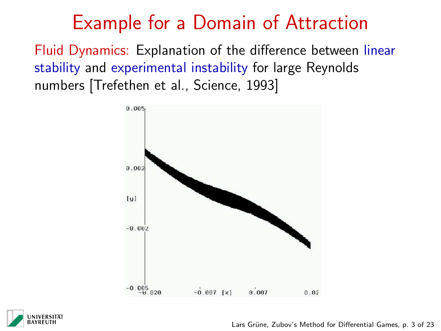## Example for a Domain of Attraction

Fluid Dynamics: Explanation of the difference between linear stability and experimental instability for large Reynolds numbers [Trefethen et al., Science, 1993]





Lars Grüne, Zubov's Method for Differential Games, p. 3 of 23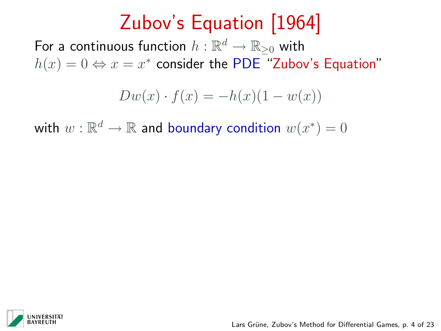# Zubov's Equation [1964]

For a continuous function  $h:\mathbb{R}^d\rightarrow\mathbb{R}_{\geq 0}$  with  $h(x) = 0 \Leftrightarrow x = x^*$  consider the PDE "Zubov's Equation"

$$
Dw(x) \cdot f(x) = -h(x)(1 - w(x))
$$

with  $w:\mathbb{R}^d\to\mathbb{R}$  and boundary condition  $w(x^*)=0$ 

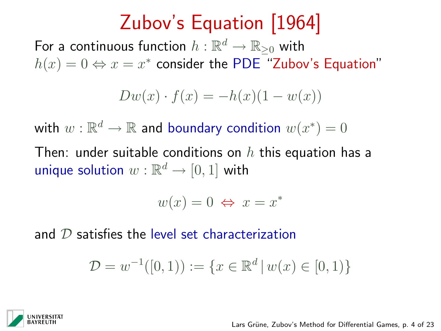# Zubov's Equation [1964]

For a continuous function  $h:\mathbb{R}^d\rightarrow\mathbb{R}_{\geq 0}$  with  $h(x) = 0 \Leftrightarrow x = x^*$  consider the PDE "Zubov's Equation"

$$
Dw(x) \cdot f(x) = -h(x)(1 - w(x))
$$

with  $w:\mathbb{R}^d\to\mathbb{R}$  and boundary condition  $w(x^*)=0$ 

Then: under suitable conditions on  $h$  this equation has a unique solution  $w:\mathbb{R}^d\to[0,1]$  with

$$
w(x) = 0 \Leftrightarrow x = x^*
$$

and  $D$  satisfies the level set characterization

$$
\mathcal{D} = w^{-1}([0,1)) := \{ x \in \mathbb{R}^d \, | \, w(x) \in [0,1) \}
$$

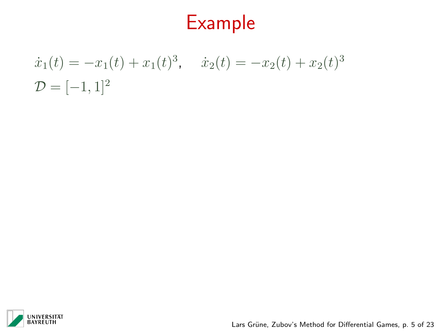# Example

 $\dot{x}_1(t) = -x_1(t) + x_1(t)^3$ ,  $\dot{x}_2(t) = -x_2(t) + x_2(t)^3$  $\mathcal{D} = [-1, 1]^2$ 



Lars Grüne, Zubov's Method for Differential Games, p. 5 of 23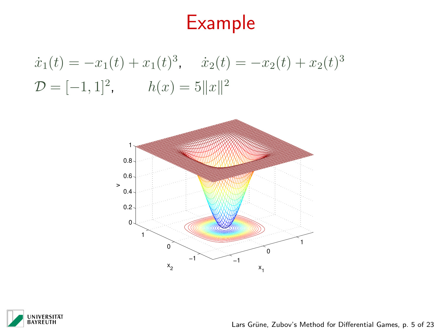# Example

 $\dot{x}_1(t) = -x_1(t) + x_1(t)^3$ ,  $\dot{x}_2(t) = -x_2(t) + x_2(t)^3$  $\mathcal{D} = [-1, 1]^2, \qquad h(x) = 5||x||^2$ 





Lars Grüne, Zubov's Method for Differential Games, p. 5 of 23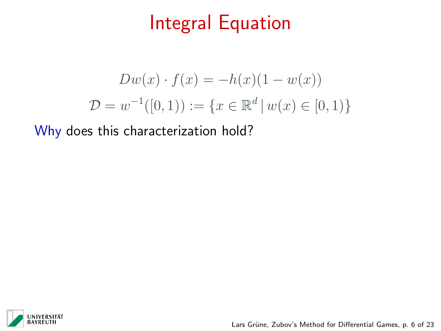# Integral Equation

$$
Dw(x) \cdot f(x) = -h(x)(1 - w(x))
$$
  

$$
\mathcal{D} = w^{-1}([0, 1)) := \{x \in \mathbb{R}^d \mid w(x) \in [0, 1)\}
$$

Why does this characterization hold?



Lars Grüne, Zubov's Method for Differential Games, p. 6 of 23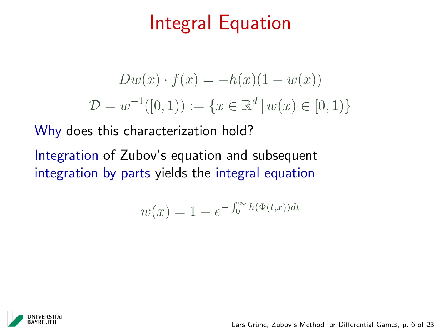# Integral Equation

$$
Dw(x) \cdot f(x) = -h(x)(1 - w(x))
$$
  

$$
\mathcal{D} = w^{-1}([0, 1)) := \{x \in \mathbb{R}^d \mid w(x) \in [0, 1)\}
$$

Why does this characterization hold?

Integration of Zubov's equation and subsequent integration by parts yields the integral equation

$$
w(x) = 1 - e^{-\int_0^\infty h(\Phi(t, x))dt}
$$



Lars Grüne, Zubov's Method for Differential Games, p. 6 of 23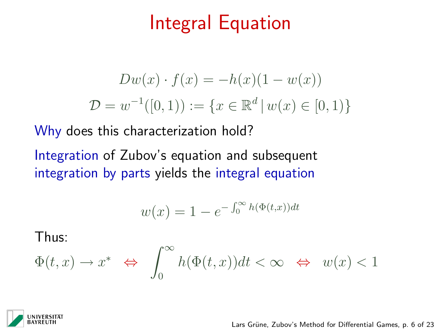# Integral Equation

$$
Dw(x) \cdot f(x) = -h(x)(1 - w(x))
$$
  

$$
\mathcal{D} = w^{-1}([0, 1)) := \{x \in \mathbb{R}^d \mid w(x) \in [0, 1)\}
$$

Why does this characterization hold?

Integration of Zubov's equation and subsequent integration by parts yields the integral equation

$$
w(x) = 1 - e^{-\int_0^\infty h(\Phi(t,x))dt}
$$

Thus:

$$
\Phi(t,x) \to x^* \Leftrightarrow \int_0^\infty h(\Phi(t,x))dt < \infty \Leftrightarrow w(x) < 1
$$



Lars Grüne, Zubov's Method for Differential Games, p. 6 of 23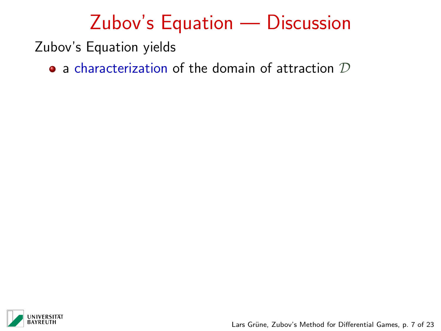Zubov's Equation yields

 $\bullet$  a characterization of the domain of attraction  $\mathcal D$ 



Lars Grüne, Zubov's Method for Differential Games, p. 7 of 23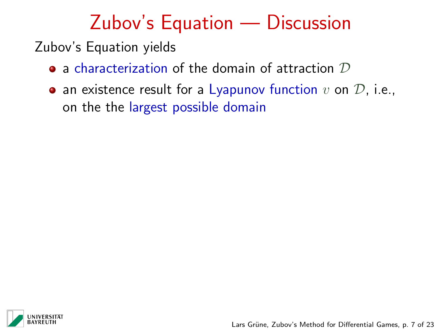Zubov's Equation yields

- $\bullet$  a characterization of the domain of attraction  $\mathcal D$
- an existence result for a Lyapunov function  $v$  on  $\mathcal{D}$ , i.e., on the the largest possible domain

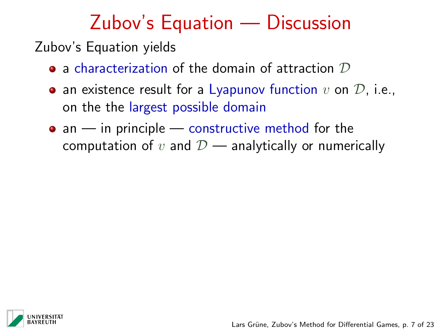Zubov's Equation yields

- $\bullet$  a characterization of the domain of attraction  $\mathcal D$
- an existence result for a Lyapunov function  $v$  on  $\mathcal{D}$ , i.e., on the the largest possible domain
- $\bullet$  an in principle constructive method for the computation of v and  $\mathcal{D}$  — analytically or numerically

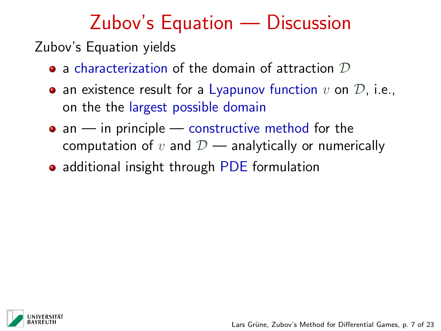Zubov's Equation yields

- $\bullet$  a characterization of the domain of attraction  $\mathcal D$
- an existence result for a Lyapunov function  $v$  on  $\mathcal{D}$ , i.e., on the the largest possible domain
- $\bullet$  an in principle constructive method for the computation of v and  $\mathcal{D}$  — analytically or numerically
- additional insight through PDE formulation

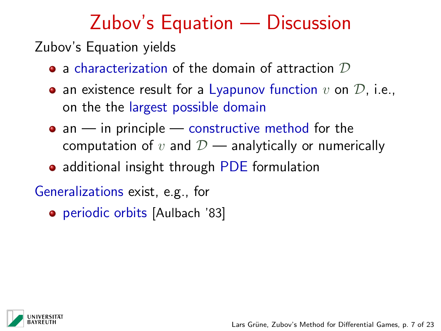Zubov's Equation yields

- $\bullet$  a characterization of the domain of attraction  $\mathcal D$
- an existence result for a Lyapunov function  $v$  on  $\mathcal{D}$ , i.e., on the the largest possible domain
- $\bullet$  an in principle constructive method for the computation of v and  $\mathcal{D}$  — analytically or numerically
- additional insight through PDE formulation

Generalizations exist, e.g., for

**•** periodic orbits [Aulbach '83]

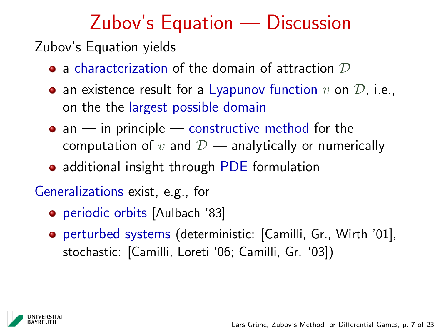Zubov's Equation yields

- $\bullet$  a characterization of the domain of attraction  $\mathcal D$
- an existence result for a Lyapunov function  $v$  on  $\mathcal{D}$ , i.e., on the the largest possible domain
- $\bullet$  an in principle constructive method for the computation of v and  $\mathcal{D}$  — analytically or numerically
- additional insight through PDE formulation

Generalizations exist, e.g., for

- **•** periodic orbits [Aulbach '83]
- perturbed systems (deterministic: [Camilli, Gr., Wirth '01], stochastic: [Camilli, Loreti '06; Camilli, Gr. '03])

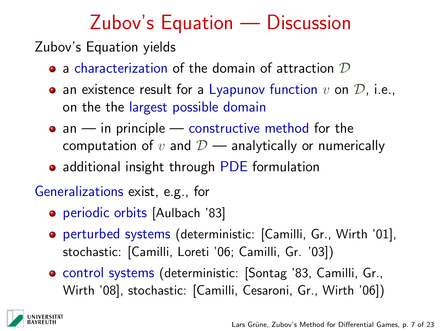Zubov's Equation yields

- $\bullet$  a characterization of the domain of attraction  $\mathcal D$
- an existence result for a Lyapunov function  $v$  on  $\mathcal{D}$ , i.e., on the the largest possible domain
- $\bullet$  an in principle constructive method for the computation of v and  $\mathcal{D}$  — analytically or numerically
- additional insight through PDE formulation

Generalizations exist, e.g., for

- **•** periodic orbits [Aulbach '83]
- perturbed systems (deterministic: [Camilli, Gr., Wirth '01], stochastic: [Camilli, Loreti '06; Camilli, Gr. '03])
- control systems (deterministic: [Sontag '83, Camilli, Gr., Wirth '08], stochastic: [Camilli, Cesaroni, Gr., Wirth '06])

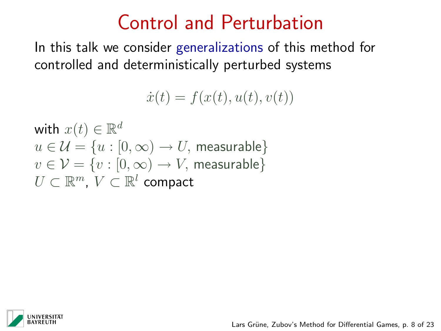## Control and Perturbation

In this talk we consider generalizations of this method for controlled and deterministically perturbed systems

 $\dot{x}(t) = f(x(t), u(t), v(t))$ 

with  $x(t) \in \mathbb{R}^d$  $u \in \mathcal{U} = \{u : [0, \infty) \to U$ , measurable  $v \in \mathcal{V} = \{v : [0, \infty) \to V$ , measurable  $U \subset \mathbb{R}^m$ ,  $V \subset \mathbb{R}^l$  compact

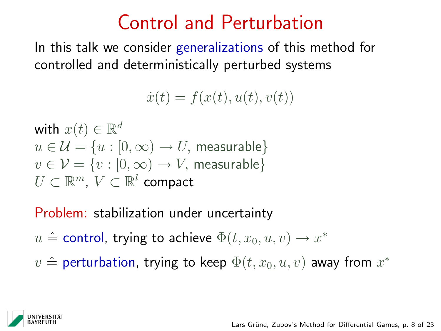## Control and Perturbation

In this talk we consider generalizations of this method for controlled and deterministically perturbed systems

 $\dot{x}(t) = f(x(t), u(t), v(t))$ 

with  $x(t) \in \mathbb{R}^d$  $u \in \mathcal{U} = \{u : [0, \infty) \to U$ , measurable  $v \in \mathcal{V} = \{v : [0, \infty) \to V$ , measurable  $U \subset \mathbb{R}^m$ ,  $V \subset \mathbb{R}^l$  compact

Problem: stabilization under uncertainty

- $u \triangleq$  control, trying to achieve  $\Phi(t, x_0, u, v) \rightarrow x^*$
- $v \triangleq$  perturbation, trying to keep  $\Phi(t,x_0,u,v)$  away from  $x^*$

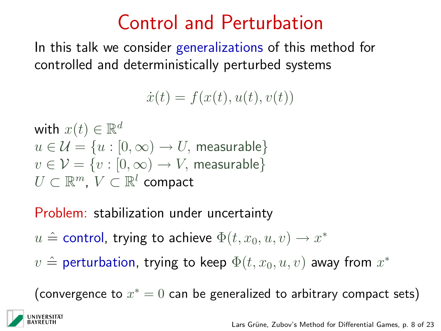## Control and Perturbation

In this talk we consider generalizations of this method for controlled and deterministically perturbed systems

 $\dot{x}(t) = f(x(t), u(t), v(t))$ 

with  $x(t) \in \mathbb{R}^d$  $u \in \mathcal{U} = \{u : [0, \infty) \to U$ , measurable  $v \in \mathcal{V} = \{v : [0, \infty) \to V$ , measurable  $U \subset \mathbb{R}^m$ ,  $V \subset \mathbb{R}^l$  compact

Problem: stabilization under uncertainty

- $u \triangleq$  control, trying to achieve  $\Phi(t, x_0, u, v) \rightarrow x^*$
- $v \triangleq$  perturbation, trying to keep  $\Phi(t,x_0,u,v)$  away from  $x^*$

(convergence to  $x^* = 0$  can be generalized to arbitrary compact sets)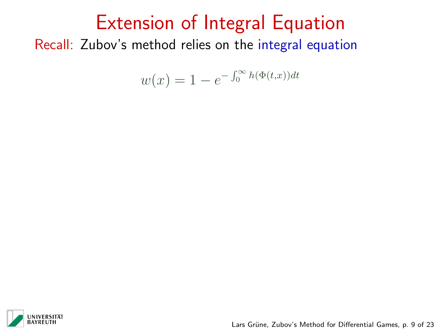$$
w(x) = 1 - e^{-\int_0^\infty h(\Phi(t,x))dt}
$$



Lars Grüne, Zubov's Method for Differential Games, p. 9 of 23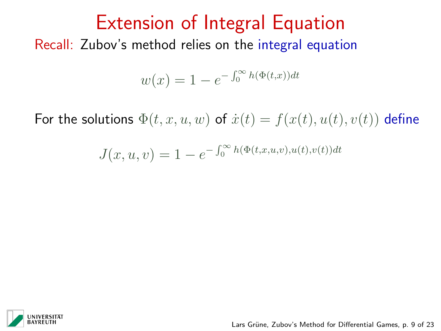$$
w(x) = 1 - e^{-\int_0^\infty h(\Phi(t,x))dt}
$$

For the solutions  $\Phi(t, x, u, w)$  of  $\dot{x}(t) = f(x(t), u(t), v(t))$  define

$$
J(x, u, v) = 1 - e^{-\int_0^{\infty} h(\Phi(t, x, u, v), u(t), v(t))dt}
$$

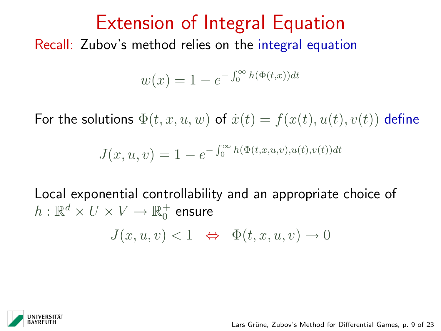$$
w(x) = 1 - e^{-\int_0^\infty h(\Phi(t,x))dt}
$$

For the solutions  $\Phi(t, x, u, w)$  of  $\dot{x}(t) = f(x(t), u(t), v(t))$  define

$$
J(x, u, v) = 1 - e^{-\int_0^{\infty} h(\Phi(t, x, u, v), u(t), v(t))dt}
$$

Local exponential controllability and an appropriate choice of  $h: \mathbb{R}^d \times U \times V \rightarrow \mathbb{R}^+_0$  ensure

$$
J(x, u, v) < 1 \iff \Phi(t, x, u, v) \to 0
$$



Lars Grüne, Zubov's Method for Differential Games, p. 9 of 23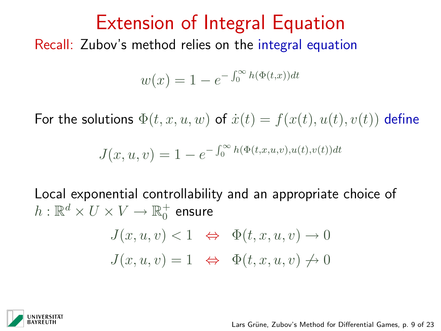$$
w(x) = 1 - e^{-\int_0^\infty h(\Phi(t,x))dt}
$$

For the solutions  $\Phi(t, x, u, w)$  of  $\dot{x}(t) = f(x(t), u(t), v(t))$  define

$$
J(x, u, v) = 1 - e^{-\int_0^{\infty} h(\Phi(t, x, u, v), u(t), v(t))dt}
$$

Local exponential controllability and an appropriate choice of  $h: \mathbb{R}^d \times U \times V \rightarrow \mathbb{R}^+_0$  ensure

$$
J(x, u, v) < 1 \Leftrightarrow \Phi(t, x, u, v) \to 0
$$
\n
$$
J(x, u, v) = 1 \Leftrightarrow \Phi(t, x, u, v) \neq 0
$$

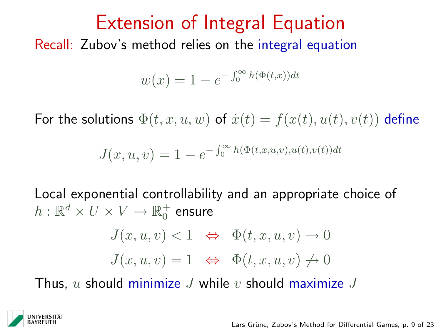$$
w(x) = 1 - e^{-\int_0^\infty h(\Phi(t,x))dt}
$$

For the solutions  $\Phi(t, x, u, w)$  of  $\dot{x}(t) = f(x(t), u(t), v(t))$  define

$$
J(x, u, v) = 1 - e^{-\int_0^{\infty} h(\Phi(t, x, u, v), u(t), v(t))dt}
$$

Local exponential controllability and an appropriate choice of  $h: \mathbb{R}^d \times U \times V \rightarrow \mathbb{R}^+_0$  ensure

$$
J(x, u, v) < 1 \Leftrightarrow \Phi(t, x, u, v) \to 0
$$
\n
$$
J(x, u, v) = 1 \Leftrightarrow \Phi(t, x, u, v) \neq 0
$$

Thus, u should minimize  $J$  while  $v$  should maximize  $J$ 

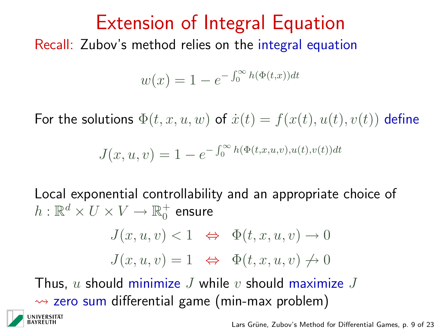$$
w(x) = 1 - e^{-\int_0^\infty h(\Phi(t,x))dt}
$$

For the solutions  $\Phi(t, x, u, w)$  of  $\dot{x}(t) = f(x(t), u(t), v(t))$  define

$$
J(x, u, v) = 1 - e^{-\int_0^{\infty} h(\Phi(t, x, u, v), u(t), v(t))dt}
$$

Local exponential controllability and an appropriate choice of  $h: \mathbb{R}^d \times U \times V \rightarrow \mathbb{R}^+_0$  ensure

$$
J(x, u, v) < 1 \Leftrightarrow \Phi(t, x, u, v) \to 0
$$
\n
$$
J(x, u, v) = 1 \Leftrightarrow \Phi(t, x, u, v) \neq 0
$$

Thus, u should minimize J while v should maximize J  $\rightarrow$  zero sum differential game (min-max problem)

Lars Grüne, Zubov's Method for Differential Games, p. 9 of 23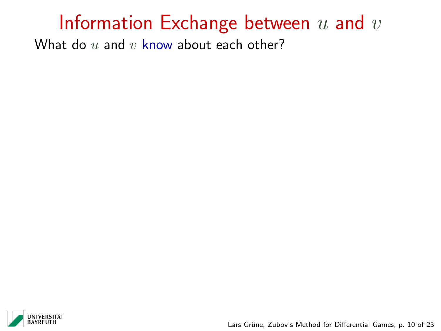What do  $u$  and  $v$  know about each other?



Lars Grüne, Zubov's Method for Differential Games, p. 10 of 23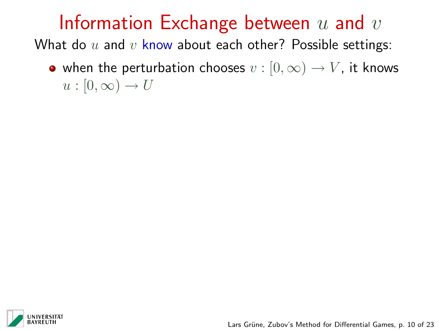What do  $u$  and  $v$  know about each other? Possible settings:

• when the perturbation chooses  $v : [0, \infty) \to V$ , it knows  $u : [0, \infty) \to U$ 

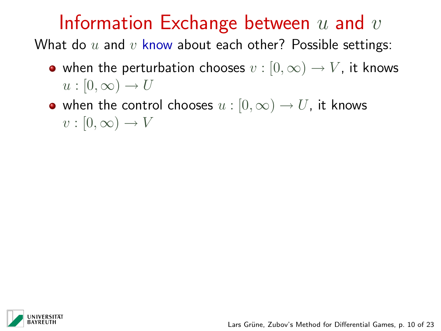- when the perturbation chooses  $v : [0, \infty) \to V$ , it knows  $u : [0, \infty) \to U$
- when the control chooses  $u : [0, \infty) \to U$ , it knows  $v : [0, \infty) \to V$

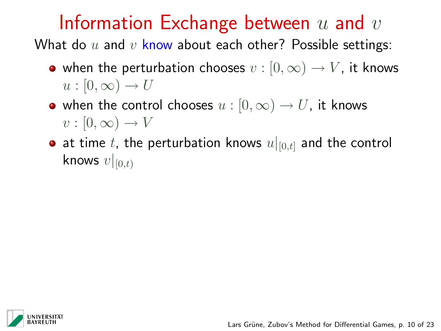- when the perturbation chooses  $v : [0, \infty) \to V$ , it knows  $u : [0, \infty) \to U$
- when the control chooses  $u : [0, \infty) \to U$ , it knows  $v : [0, \infty) \to V$
- at time t, the perturbation knows  $u|_{[0,t]}$  and the control knows  $v|_{[0,t)}$

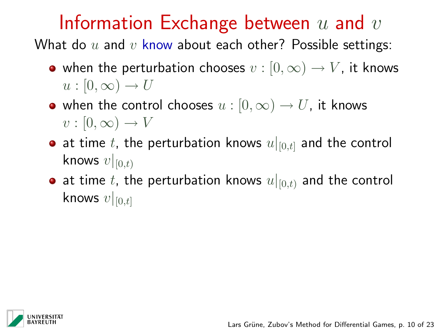- when the perturbation chooses  $v : [0, \infty) \to V$ , it knows  $u : [0, \infty) \to U$
- when the control chooses  $u : [0, \infty) \to U$ , it knows  $v : [0, \infty) \to V$
- at time t, the perturbation knows  $u|_{[0,t]}$  and the control knows  $v|_{[0,t)}$
- at time t, the perturbation knows  $u|_{[0,t)}$  and the control knows  $v|_{[0,t]}$

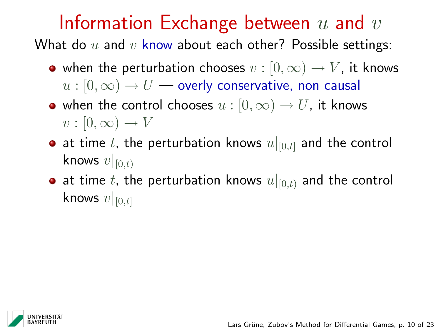- when the perturbation chooses  $v : [0, \infty) \to V$ , it knows  $u:[0,\infty) \to U$  — overly conservative, non causal
- when the control chooses  $u : [0, \infty) \to U$ , it knows  $v : [0, \infty) \to V$
- at time t, the perturbation knows  $u|_{[0,t]}$  and the control knows  $v|_{[0,t)}$
- at time t, the perturbation knows  $u|_{[0,t)}$  and the control knows  $v|_{[0,t]}$

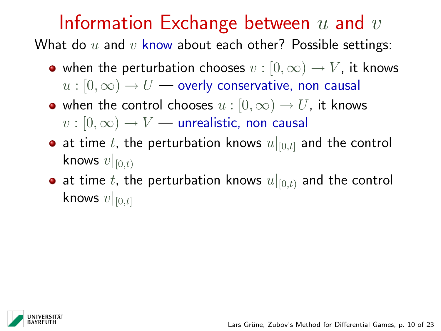What do  $u$  and  $v$  know about each other? Possible settings:

- when the perturbation chooses  $v : [0, \infty) \to V$ , it knows  $u:[0,\infty) \to U$  — overly conservative, non causal
- when the control chooses  $u : [0, \infty) \to U$ , it knows  $v : [0, \infty) \rightarrow V$  — unrealistic, non causal
- at time t, the perturbation knows  $u|_{[0,t]}$  and the control knows  $v|_{[0,t)}$
- at time t, the perturbation knows  $u|_{[0,t)}$  and the control knows  $v|_{[0,t]}$

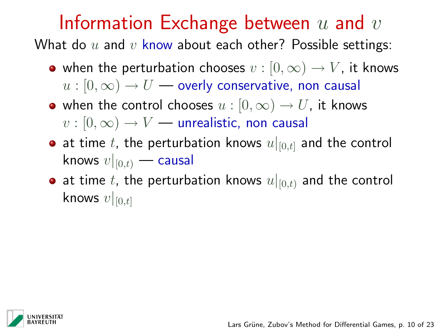What do  $u$  and  $v$  know about each other? Possible settings:

- when the perturbation chooses  $v : [0, \infty) \to V$ , it knows  $u:[0,\infty) \to U$  — overly conservative, non causal
- when the control chooses  $u : [0, \infty) \to U$ , it knows  $v : [0, \infty) \rightarrow V$  — unrealistic, non causal
- at time t, the perturbation knows  $u|_{[0,t]}$  and the control knows  $v|_{[0,t)}$  — causal
- at time t, the perturbation knows  $u|_{[0,t)}$  and the control knows  $v|_{[0,t]}$

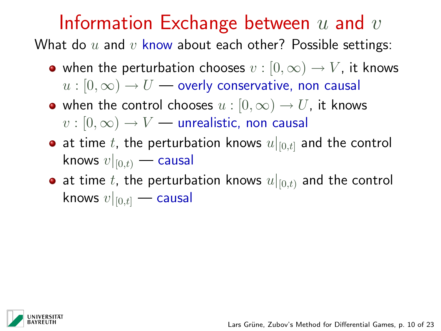What do  $u$  and  $v$  know about each other? Possible settings:

- when the perturbation chooses  $v : [0, \infty) \to V$ , it knows  $u:[0,\infty) \to U$  — overly conservative, non causal
- when the control chooses  $u : [0, \infty) \to U$ , it knows  $v : [0, \infty) \rightarrow V$  — unrealistic, non causal
- at time t, the perturbation knows  $u|_{[0,t]}$  and the control knows  $v|_{[0,t)}$  — causal
- at time t, the perturbation knows  $u|_{[0,t)}$  and the control knows  $v|_{[0,t]}$  — causal

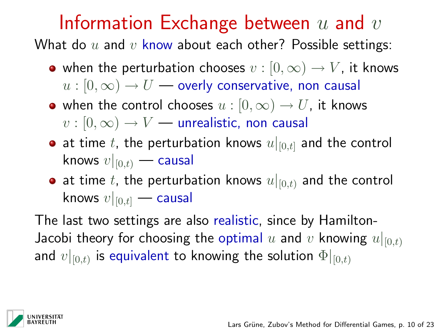What do  $u$  and  $v$  know about each other? Possible settings:

- when the perturbation chooses  $v : [0, \infty) \to V$ , it knows  $u:[0,\infty) \to U$  — overly conservative, non causal
- when the control chooses  $u : [0, \infty) \to U$ , it knows  $v : [0, \infty) \rightarrow V$  — unrealistic, non causal
- at time t, the perturbation knows  $u|_{[0,t]}$  and the control knows  $v|_{[0,t)}$  — causal
- at time t, the perturbation knows  $u|_{[0,t)}$  and the control knows  $v|_{[0,t]}$  — causal

The last two settings are also realistic, since by Hamilton-Jacobi theory for choosing the optimal u and v knowing  $u|_{[0,t)}$ and  $v|_{[0,t)}$  is equivalent to knowing the solution  $\Phi|_{[0,t)}$ 

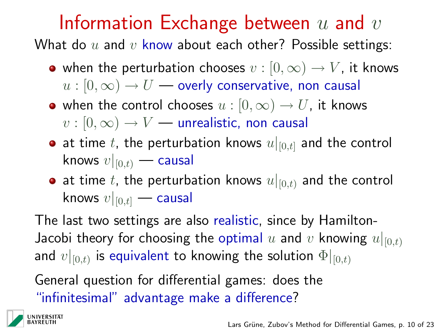What do  $u$  and  $v$  know about each other? Possible settings:

- when the perturbation chooses  $v : [0, \infty) \to V$ , it knows  $u:[0,\infty) \to U$  — overly conservative, non causal
- when the control chooses  $u : [0, \infty) \to U$ , it knows  $v : [0, \infty) \rightarrow V$  — unrealistic, non causal
- at time t, the perturbation knows  $u|_{[0,t]}$  and the control knows  $v|_{[0,t)}$  — causal
- at time t, the perturbation knows  $u|_{[0,t)}$  and the control knows  $v|_{[0,t]}$  — causal

The last two settings are also realistic, since by Hamilton-Jacobi theory for choosing the optimal u and v knowing  $u|_{[0,t)}$ and  $v|_{[0,t)}$  is equivalent to knowing the solution  $\Phi|_{[0,t)}$ 

General question for differential games: does the "infinitesimal" advantage make a difference?

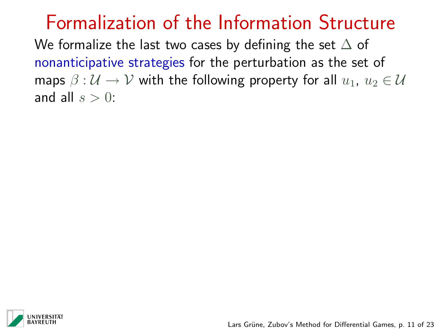We formalize the last two cases by defining the set  $\Delta$  of nonanticipative strategies for the perturbation as the set of maps  $\beta : U \to V$  with the following property for all  $u_1, u_2 \in U$ and all  $s > 0$ :

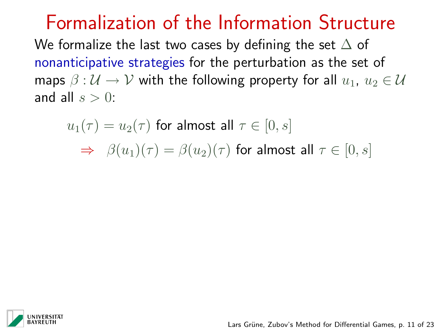We formalize the last two cases by defining the set  $\Delta$  of nonanticipative strategies for the perturbation as the set of maps  $\beta : U \to V$  with the following property for all  $u_1, u_2 \in U$ and all  $s > 0$ :

$$
u_1(\tau) = u_2(\tau) \text{ for almost all } \tau \in [0, s]
$$
  
\n
$$
\Rightarrow \beta(u_1)(\tau) = \beta(u_2)(\tau) \text{ for almost all } \tau \in [0, s]
$$

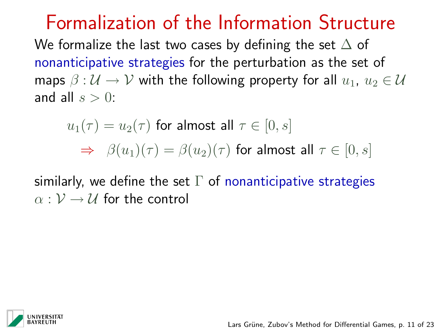We formalize the last two cases by defining the set  $\Delta$  of nonanticipative strategies for the perturbation as the set of maps  $\beta : \mathcal{U} \to \mathcal{V}$  with the following property for all  $u_1, u_2 \in \mathcal{U}$ and all  $s > 0$ :

$$
u_1(\tau) = u_2(\tau) \text{ for almost all } \tau \in [0, s]
$$
  
\n
$$
\Rightarrow \beta(u_1)(\tau) = \beta(u_2)(\tau) \text{ for almost all } \tau \in [0, s]
$$

similarly, we define the set  $\Gamma$  of nonanticipative strategies  $\alpha : \mathcal{V} \rightarrow \mathcal{U}$  for the control

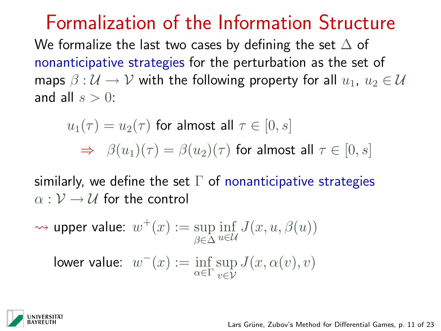We formalize the last two cases by defining the set  $\Delta$  of nonanticipative strategies for the perturbation as the set of maps  $\beta : \mathcal{U} \to \mathcal{V}$  with the following property for all  $u_1, u_2 \in \mathcal{U}$ and all  $s > 0$ :

$$
u_1(\tau) = u_2(\tau) \text{ for almost all } \tau \in [0, s]
$$
  
\n
$$
\Rightarrow \beta(u_1)(\tau) = \beta(u_2)(\tau) \text{ for almost all } \tau \in [0, s]
$$

similarly, we define the set  $\Gamma$  of nonanticipative strategies  $\alpha : \mathcal{V} \rightarrow \mathcal{U}$  for the control

$$
\leadsto \text{ upper value: } w^+(x) := \sup_{\beta \in \Delta} \inf_{u \in \mathcal{U}} J(x, u, \beta(u))
$$
  
lower value: 
$$
w^-(x) := \inf_{\alpha \in \Gamma} \sup_{v \in \mathcal{V}} J(x, \alpha(v), v)
$$

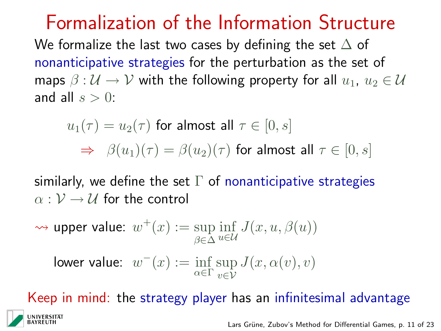We formalize the last two cases by defining the set  $\Delta$  of nonanticipative strategies for the perturbation as the set of maps  $\beta : \mathcal{U} \to \mathcal{V}$  with the following property for all  $u_1, u_2 \in \mathcal{U}$ and all  $s > 0$ :

$$
u_1(\tau) = u_2(\tau) \text{ for almost all } \tau \in [0, s]
$$
  
\n
$$
\Rightarrow \beta(u_1)(\tau) = \beta(u_2)(\tau) \text{ for almost all } \tau \in [0, s]
$$

similarly, we define the set  $\Gamma$  of nonanticipative strategies  $\alpha : \mathcal{V} \rightarrow \mathcal{U}$  for the control

$$
\leadsto \text{ upper value: } w^+(x) := \sup_{\beta \in \Delta} \inf_{u \in \mathcal{U}} J(x, u, \beta(u))
$$
\n
$$
\text{lower value: } w^-(x) := \inf_{\alpha \in \Gamma} \sup_{v \in \mathcal{V}} J(x, \alpha(v), v)
$$

Keep in mind: the strategy player has an infinitesimal advantage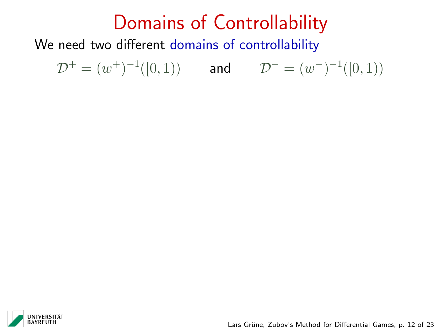# Domains of Controllability

We need two different domains of controllability

 $\mathcal{D}^+ = (w^+)^{-1}([0,1))$  and  $\mathcal{D}^- = (w^-)^{-1}([0,1))$ 

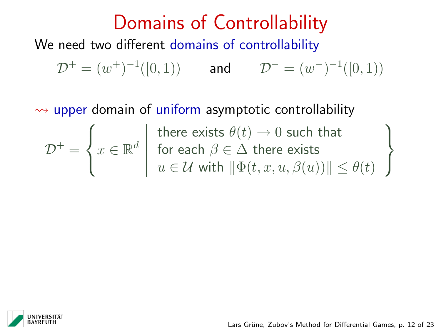$\rightarrow$  upper domain of uniform asymptotic controllability

$$
\mathcal{D}^+ = \left\{ x \in \mathbb{R}^d \mid \begin{array}{c} \text{t} \\ \text{f} \\ \text{t} \\ \text{t} \end{array} \right.
$$

there exists  $\theta(t) \rightarrow 0$  such that for each  $\beta \in \Delta$  there exists  $u \in \mathcal{U}$  with  $\|\Phi(t, x, u, \beta(u))\| < \theta(t)$ 



 $\mathcal{L}$  $\mathcal{L}$ 

 $\int$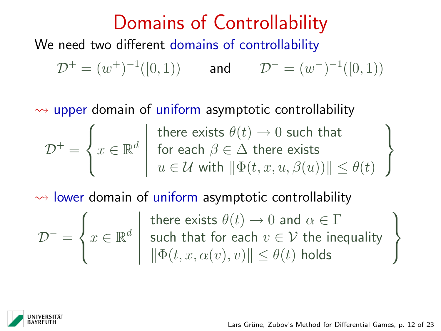$\rightarrow$  upper domain of uniform asymptotic controllability

$$
\mathcal{D}^+ = \left\{ x \in \mathbb{R}^d \mid \text{there exists } \theta(t) \to 0 \text{ such that } \atop u \in \mathcal{U} \text{ with } ||\Phi(t, x, u, \beta(u))|| \le \theta(t) \right\}
$$

 $\rightarrow$  lower domain of uniform asymptotic controllability

$$
\mathcal{D}^{-} = \left\{ x \in \mathbb{R}^d \; \middle| \; \begin{array}{l} \text{there exists } \theta(t) \to 0 \text{ and } \alpha \in \Gamma \\ \text{such that for each } v \in \mathcal{V} \text{ the inequality} \\ \|\Phi(t, x, \alpha(v), v)\| \le \theta(t) \text{ holds} \end{array} \right\}
$$

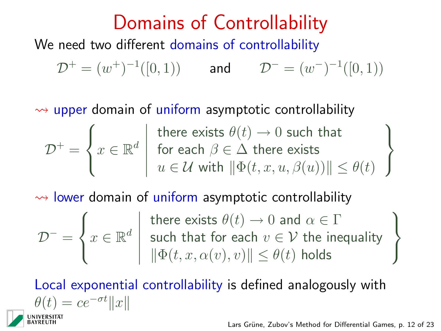$\rightarrow$  upper domain of uniform asymptotic controllability

$$
\mathcal{D}^+ = \left\{ x \in \mathbb{R}^d \mid \text{there exists } \theta(t) \to 0 \text{ such that } \atop u \in \mathcal{U} \text{ with } ||\Phi(t, x, u, \beta(u))|| \le \theta(t) \right\}
$$

 $\rightarrow$  lower domain of uniform asymptotic controllability

$$
\mathcal{D}^{-} = \left\{ x \in \mathbb{R}^d \: \left| \begin{array}{c} \text{there exists } \theta(t) \to 0 \text{ and } \alpha \in \Gamma \\ \text{such that for each } v \in \mathcal{V} \text{ the inequality} \\ \|\Phi(t, x, \alpha(v), v)\| \le \theta(t) \text{ holds} \end{array} \right.
$$

Local exponential controllability is defined analogously with  $\theta(t) = ce^{-\sigma t}||x||$ 

Lars Grüne, Zubov's Method for Differential Games, p. 12 of 23

 $\mathcal{L}$  $\mathcal{L}$ 

 $\int$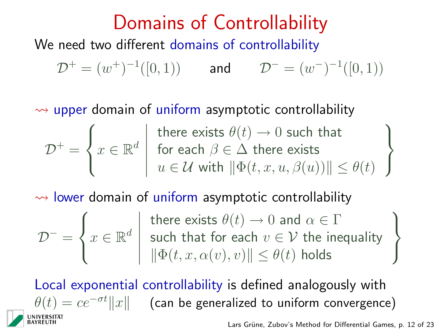$\rightarrow$  upper domain of uniform asymptotic controllability

$$
\mathcal{D}^+ = \left\{ x \in \mathbb{R}^d \mid \text{there exists } \theta(t) \to 0 \text{ such that } \atop u \in \mathcal{U} \text{ with } ||\Phi(t, x, u, \beta(u))|| \le \theta(t) \right\}
$$

 $\rightarrow$  lower domain of uniform asymptotic controllability

$$
\mathcal{D}^- = \left\{ x \in \mathbb{R}^d \; \middle| \; \mathcal{D}^- = \left\{ x \in \mathbb{R}^d \; \middle| \; \mathcal{D}^- = \left\{ x \in \mathbb{R}^d \; \middle| \; \mathcal{D}^- = \left\{ x \in \mathbb{R}^d \; \middle| \; \mathcal{D}^- = \left\{ x \in \mathbb{R}^d \; \middle| \; \mathcal{D}^- = \left\{ x \in \mathbb{R}^d \; \middle| \; \mathcal{D}^- = \left\{ x \in \mathbb{R}^d \; \middle| \; \mathcal{D}^- = \left\{ x \in \mathbb{R}^d \; \middle| \; \mathcal{D}^- = \left\{ x \in \mathbb{R}^d \; \middle| \; \mathcal{D}^- = \left\{ x \in \mathbb{R}^d \; \middle| \; \mathcal{D}^- = \left\{ x \in \mathbb{R}^d \; \middle| \; \mathcal{D}^- = \left\{ x \in \mathbb{R}^d \; \middle| \; \mathcal{D}^- = \left\{ x \in \mathbb{R}^d \; \middle| \; \mathcal{D}^- = \left\{ x \in \mathbb{R}^d \; \middle| \; \mathcal{D}^- = \left\{ x \in \mathbb{R}^d \; \middle| \; \mathcal{D}^- = \left\{ x \in \mathbb{R}^d \; \middle| \; \mathcal{D}^- = \left\{ x \in \mathbb{R}^d \; \middle| \; \mathcal{D}^- = \left\{ x \in \mathbb{R}^d \; \middle| \; \mathcal{D}^- = \left\{ x \in \mathbb{R}^d \; \middle| \; \mathcal{D}^- = \left\{ x \in \mathbb{R}^d \; \middle| \; \mathcal{D}^- = \left\{ x \in \mathbb{R}^d \; \middle| \; \mathcal{D}^- = \left\{ x \in \mathbb{R}^d \; \middle| \; \mathcal{D}^- = \left\{ x \in \mathbb{R}^d \; \middle| \; \mathcal{D}^- = \left\{ x \in \mathbb{R}^d \; \middle| \; \mathcal{D}^- = \left\{ x \in \mathbb{R}^d \; \middle| \; \mathcal{D}^- = \left
$$

there exists 
$$
\theta(t) \to 0
$$
 and  $\alpha \in \Gamma$   
such that for each  $v \in \mathcal{V}$  the inequality  
 $\|\Phi(t, x, \alpha(v), v)\| \leq \theta(t)$  holds

Local exponential controllability is defined analogously with  $\theta(t) = ce^{-\sigma t} ||x||$  (can be generalized to uniform convergence)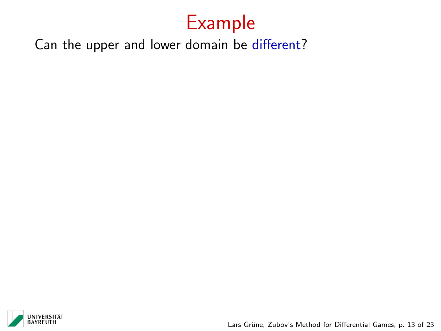Can the upper and lower domain be different?

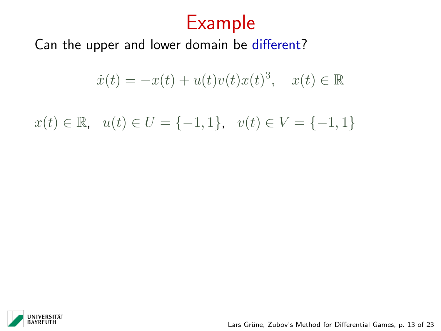Can the upper and lower domain be different?

$$
\dot{x}(t) = -x(t) + u(t)v(t)x(t)^3, \quad x(t) \in \mathbb{R}
$$

 $x(t) \in \mathbb{R}, \quad u(t) \in U = \{-1, 1\}, \quad v(t) \in V = \{-1, 1\}$ 

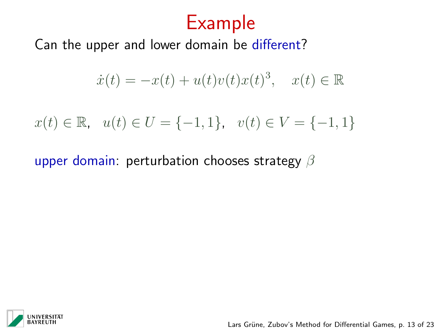Can the upper and lower domain be different?

$$
\dot{x}(t) = -x(t) + u(t)v(t)x(t)^3, \quad x(t) \in \mathbb{R}
$$

$$
x(t) \in \mathbb{R}, \quad u(t) \in U = \{-1, 1\}, \quad v(t) \in V = \{-1, 1\}
$$

upper domain: perturbation chooses strategy  $\beta$ 

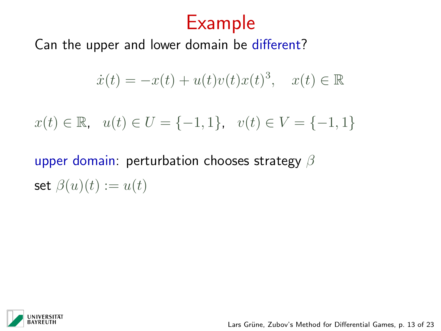Can the upper and lower domain be different?

$$
\dot{x}(t) = -x(t) + u(t)v(t)x(t)^3, \quad x(t) \in \mathbb{R}
$$

$$
x(t) \in \mathbb{R}, \quad u(t) \in U = \{-1, 1\}, \quad v(t) \in V = \{-1, 1\}
$$

upper domain: perturbation chooses strategy  $\beta$ set  $\beta(u)(t) := u(t)$ 

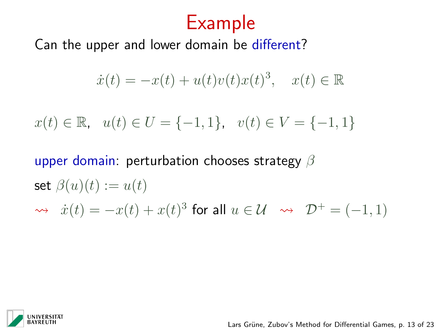Can the upper and lower domain be different?

$$
\dot{x}(t) = -x(t) + u(t)v(t)x(t)^3, \quad x(t) \in \mathbb{R}
$$

$$
x(t) \in \mathbb{R}, \quad u(t) \in U = \{-1, 1\}, \quad v(t) \in V = \{-1, 1\}
$$

upper domain: perturbation chooses strategy  $\beta$ set  $\beta(u)(t) := u(t)$  $\Rightarrow \dot{x}(t) = -x(t) + x(t)^3$  for all  $u \in \mathcal{U} \rightarrow \mathcal{D}^+ = (-1, 1)$ 

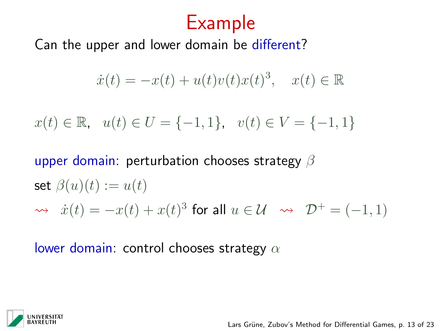Can the upper and lower domain be different?

$$
\dot{x}(t) = -x(t) + u(t)v(t)x(t)^3, \quad x(t) \in \mathbb{R}
$$

$$
x(t) \in \mathbb{R}, \quad u(t) \in U = \{-1, 1\}, \quad v(t) \in V = \{-1, 1\}
$$

upper domain: perturbation chooses strategy  $\beta$ set  $\beta(u)(t) := u(t)$  $\Rightarrow \dot{x}(t) = -x(t) + x(t)^3$  for all  $u \in \mathcal{U} \rightarrow \mathcal{D}^+ = (-1, 1)$ 

lower domain: control chooses strategy  $\alpha$ 

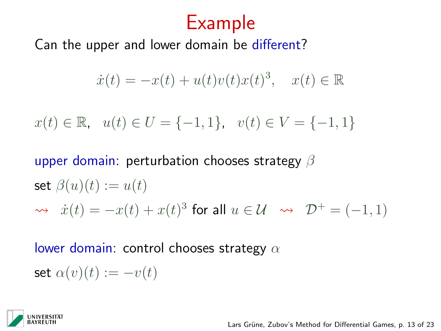Can the upper and lower domain be different?

$$
\dot{x}(t) = -x(t) + u(t)v(t)x(t)^3, \quad x(t) \in \mathbb{R}
$$

$$
x(t) \in \mathbb{R}, \quad u(t) \in U = \{-1, 1\}, \quad v(t) \in V = \{-1, 1\}
$$

upper domain: perturbation chooses strategy  $\beta$ set  $\beta(u)(t) := u(t)$  $\Rightarrow \dot{x}(t) = -x(t) + x(t)^3$  for all  $u \in \mathcal{U} \rightarrow \mathcal{D}^+ = (-1, 1)$ 

lower domain: control chooses strategy  $\alpha$ 

set  $\alpha(v)(t) := -v(t)$ 

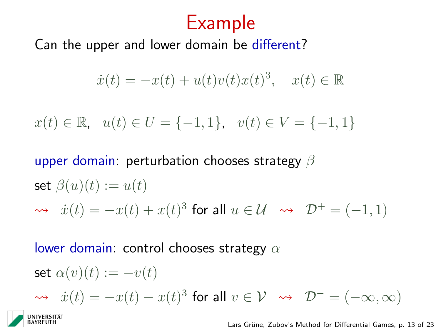Can the upper and lower domain be different?

$$
\dot{x}(t) = -x(t) + u(t)v(t)x(t)^3, \quad x(t) \in \mathbb{R}
$$

$$
x(t) \in \mathbb{R}, \quad u(t) \in U = \{-1, 1\}, \quad v(t) \in V = \{-1, 1\}
$$

upper domain: perturbation chooses strategy  $\beta$ set  $\beta(u)(t) := u(t)$  $\Rightarrow \dot{x}(t) = -x(t) + x(t)^3$  for all  $u \in \mathcal{U} \rightarrow \mathcal{D}^+ = (-1, 1)$ 

lower domain: control chooses strategy  $\alpha$ 

$$
\begin{aligned}\n\text{set } \alpha(v)(t) &:= -v(t) \\
\rightsquigarrow \quad & \dot{x}(t) = -x(t) - x(t)^3 \text{ for all } v \in \mathcal{V} \quad \rightsquigarrow \quad \mathcal{D}^- = (-\infty, \infty) \\
&\text{INIVERSITAT}\n\end{aligned}
$$
\nLars Grüne, Zubov's Method for Differential Games, p. 13 of 23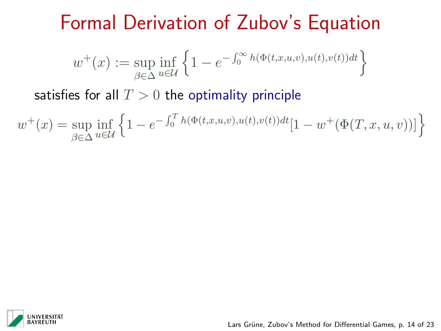# Formal Derivation of Zubov's Equation

$$
w^{+}(x) := \sup_{\beta \in \Delta} \inf_{u \in \mathcal{U}} \left\{ 1 - e^{-\int_{0}^{\infty} h(\Phi(t, x, u, v), u(t), v(t)) dt} \right\}
$$

satisfies for all  $T > 0$  the optimality principle

$$
w^+(x) = \sup_{\beta \in \Delta} \inf_{u \in \mathcal{U}} \left\{ 1 - e^{-\int_0^T h(\Phi(t,x,u,v),u(t),v(t))dt} [1 - w^+(\Phi(T,x,u,v))] \right\}
$$

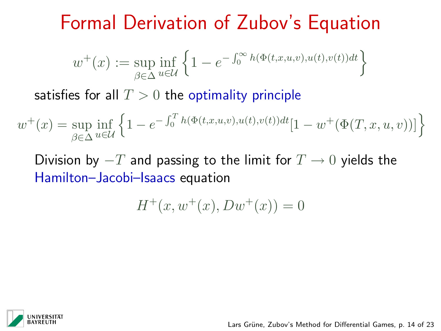# Formal Derivation of Zubov's Equation

$$
w^+(x) := \sup_{\beta \in \Delta} \inf_{u \in \mathcal{U}} \left\{ 1 - e^{-\int_0^\infty h(\Phi(t, x, u, v), u(t), v(t)) dt} \right\}
$$

satisfies for all  $T > 0$  the optimality principle

$$
w^+(x) = \sup_{\beta \in \Delta} \inf_{u \in \mathcal{U}} \left\{ 1 - e^{-\int_0^T h(\Phi(t, x, u, v), u(t), v(t)) dt} [1 - w^+(\Phi(T, x, u, v))] \right\}
$$

Division by  $-T$  and passing to the limit for  $T \to 0$  yields the Hamilton–Jacobi–Isaacs equation

$$
H^+(x, w^+(x), Dw^+(x)) = 0
$$

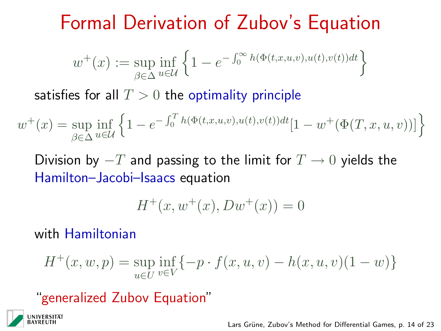# Formal Derivation of Zubov's Equation

$$
w^{+}(x) := \sup_{\beta \in \Delta} \inf_{u \in \mathcal{U}} \left\{ 1 - e^{-\int_{0}^{\infty} h(\Phi(t, x, u, v), u(t), v(t)) dt} \right\}
$$

satisfies for all  $T > 0$  the optimality principle

$$
w^+(x) = \sup_{\beta \in \Delta} \inf_{u \in \mathcal{U}} \left\{ 1 - e^{-\int_0^T h(\Phi(t,x,u,v),u(t),v(t))dt} [1 - w^+(\Phi(T,x,u,v))] \right\}
$$

Division by  $-T$  and passing to the limit for  $T \to 0$  yields the Hamilton–Jacobi–Isaacs equation

$$
H^+(x, w^+(x), Dw^+(x)) = 0
$$

with Hamiltonian

$$
H^+(x, w, p) = \sup_{u \in U} \inf_{v \in V} \{-p \cdot f(x, u, v) - h(x, u, v)(1 - w)\}
$$

"generalized Zubov Equation"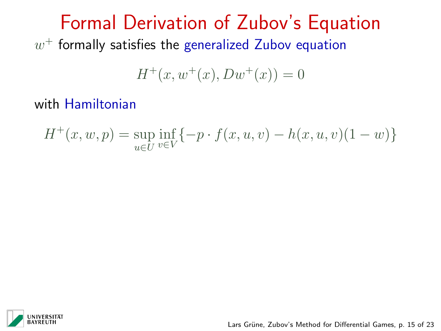Formal Derivation of Zubov's Equation  $w^+$  formally satisfies the generalized Zubov equation

$$
H^+(x, w^+(x), Dw^+(x)) = 0
$$

with Hamiltonian

$$
H^+(x, w, p) = \sup_{u \in U} \inf_{v \in V} \{-p \cdot f(x, u, v) - h(x, u, v)(1 - w)\}
$$

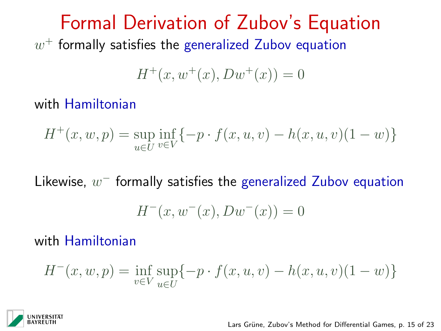Formal Derivation of Zubov's Equation  $w^+$  formally satisfies the generalized Zubov equation

$$
H^+(x, w^+(x), Dw^+(x)) = 0
$$

with Hamiltonian

$$
H^+(x, w, p) = \sup_{u \in U} \inf_{v \in V} \{-p \cdot f(x, u, v) - h(x, u, v)(1 - w)\}
$$

Likewise,  $w^-$  formally satisfies the generalized Zubov equation

$$
H^-(x, w^-(x), Dw^-(x)) = 0
$$

with Hamiltonian

$$
H^{-}(x, w, p) = \inf_{v \in V} \sup_{u \in U} \{-p \cdot f(x, u, v) - h(x, u, v)(1 - w)\}
$$

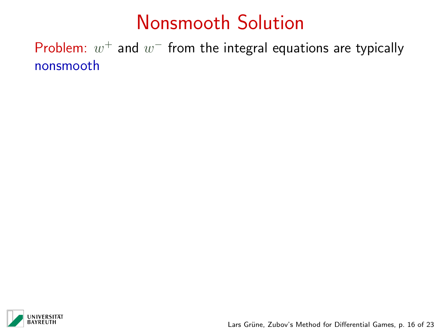# Nonsmooth Solution

Problem:  $w^+$  and  $w^-$  from the integral equations are typically nonsmooth

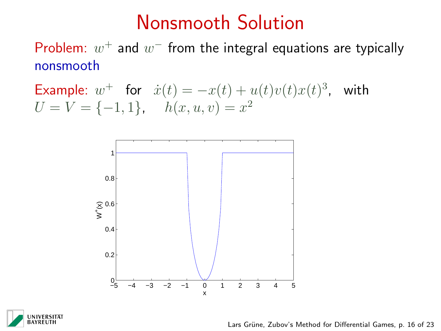### Nonsmooth Solution

Problem:  $w^+$  and  $w^-$  from the integral equations are typically nonsmooth

Example:  $w^+$  for  $\dot{x}(t) = -x(t) + u(t)v(t)x(t)^3$ , with  $U = V = \{-1, 1\}, \quad h(x, u, v) = x^2$ 





Lars Grüne, Zubov's Method for Differential Games, p. 16 of 23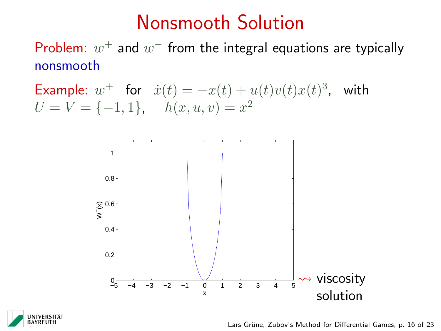### Nonsmooth Solution

Problem:  $w^+$  and  $w^-$  from the integral equations are typically nonsmooth

Example:  $w^+$  for  $\dot{x}(t) = -x(t) + u(t)v(t)x(t)^3$ , with  $U = V = \{-1, 1\}, \quad h(x, u, v) = x^2$ 





Lars Grüne, Zubov's Method for Differential Games, p. 16 of 23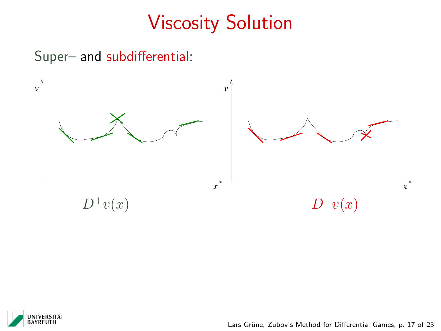#### Super– and subdifferential:



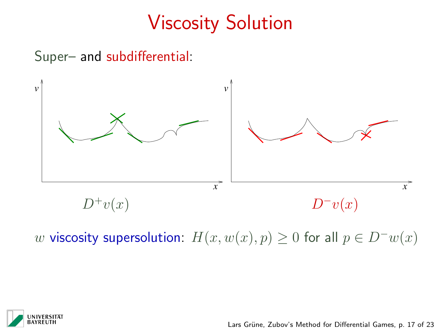#### Super– and subdifferential:



w viscosity supersolution:  $H(x, w(x), p) \ge 0$  for all  $p \in D^{-}w(x)$ 

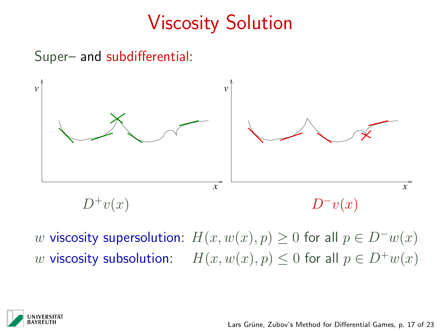#### Super– and subdifferential:



w viscosity supersolution:  $H(x, w(x), p) \ge 0$  for all  $p \in D^{-}w(x)$ w viscosity subsolution:  $H(x, w(x), p) \leq 0$  for all  $p \in D^+w(x)$ 

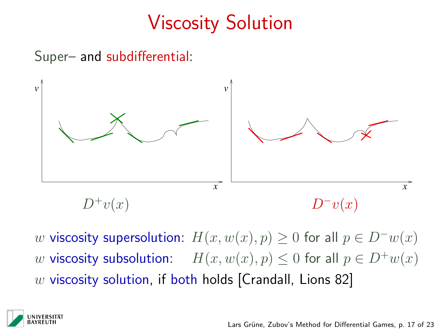#### Super– and subdifferential:



w viscosity supersolution:  $H(x, w(x), p) \geq 0$  for all  $p \in D^{-}w(x)$ w viscosity subsolution:  $H(x, w(x), p) \leq 0$  for all  $p \in D^+w(x)$  $w$  viscosity solution, if both holds [Crandall, Lions 82]

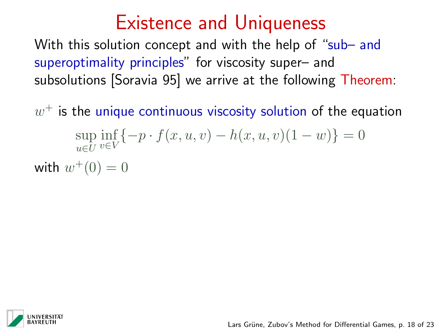### Existence and Uniqueness

With this solution concept and with the help of "sub- and superoptimality principles" for viscosity super– and subsolutions [Soravia 95] we arrive at the following Theorem:

 $w^{\pm}$  is the unique continuous viscosity solution of the equation sup u∈U  $\inf_{v \in V} \{-p \cdot f(x, u, v) - h(x, u, v)(1 - w)\} = 0$ with  $w^+(0) = 0$ 

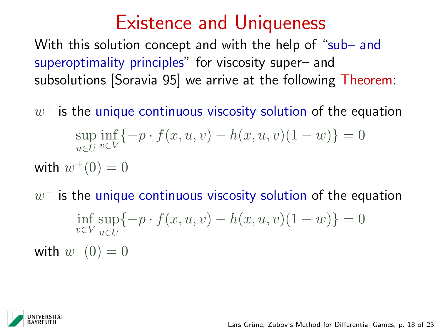### Existence and Uniqueness

With this solution concept and with the help of "sub- and superoptimality principles" for viscosity super– and subsolutions [Soravia 95] we arrive at the following Theorem:

 $w^{\pm}$  is the unique continuous viscosity solution of the equation sup u∈U  $\inf_{v \in V} \{-p \cdot f(x, u, v) - h(x, u, v)(1 - w)\} = 0$ with  $w^+(0) = 0$ 

 $w^{\pm}$  is the unique continuous viscosity solution of the equation  $\inf_{v \in V} \sup_{u \in U}$ u∈U  $\{-p \cdot f(x, u, v) - h(x, u, v)(1 - w)\} = 0$ with  $w^-(0) = 0$ 

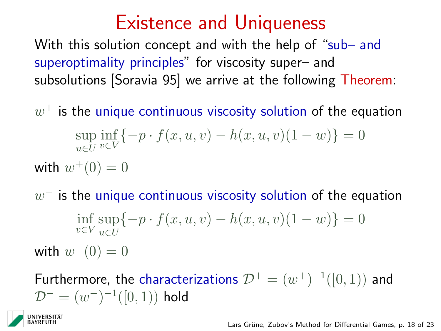### Existence and Uniqueness

With this solution concept and with the help of "sub- and superoptimality principles" for viscosity super– and subsolutions [Soravia 95] we arrive at the following Theorem:

 $w^{\pm}$  is the unique continuous viscosity solution of the equation sup u∈U  $\inf_{v \in V} \{-p \cdot f(x, u, v) - h(x, u, v)(1 - w)\} = 0$ with  $w^+(0) = 0$ 

 $w^{\pm}$  is the unique continuous viscosity solution of the equation

 $\inf_{v \in V} \sup_{u \in U}$ u∈U  $\{-p \cdot f(x, u, v) - h(x, u, v)(1 - w)\} = 0$ with  $w^-(0) = 0$ 

Furthermore, the characterizations  $\mathcal{D}^+ = (w^+)^{-1}([0,1))$  and  $\mathcal{D}^- = (w^-)^{-1}([0,1))$  hold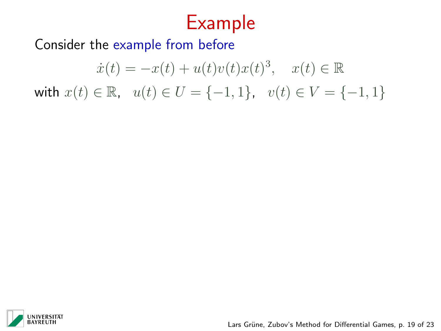Consider the example from before

$$
\dot{x}(t) = -x(t) + u(t)v(t)x(t)^3, \quad x(t) \in \mathbb{R}
$$
  
with  $x(t) \in \mathbb{R}$ ,  $u(t) \in U = \{-1, 1\}$ ,  $v(t) \in V = \{-1, 1\}$ 



Lars Grüne, Zubov's Method for Differential Games, p. 19 of 23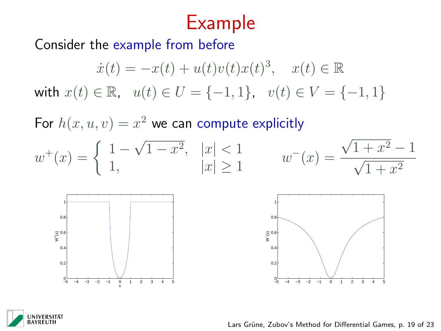Consider the example from before

$$
\dot{x}(t) = -x(t) + u(t)v(t)x(t)^3, \quad x(t) \in \mathbb{R}
$$
  
with  $x(t) \in \mathbb{R}$ ,  $u(t) \in U = \{-1, 1\}$ ,  $v(t) \in V = \{-1, 1\}$ 

For  $h(x, u, v) = x^2$  we can compute explicitly









Lars Grüne, Zubov's Method for Differential Games, p. 19 of 23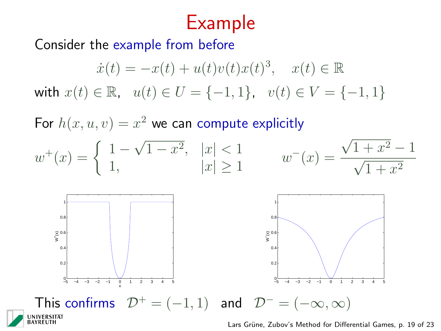Consider the example from before

$$
\dot{x}(t) = -x(t) + u(t)v(t)x(t)^3, \quad x(t) \in \mathbb{R}
$$
  
with  $x(t) \in \mathbb{R}$ ,  $u(t) \in U = \{-1, 1\}$ ,  $v(t) \in V = \{-1, 1\}$ 

For  $h(x, u, v) = x^2$  we can compute explicitly





Lars Grüne, Zubov's Method for Differential Games, p. 19 of 23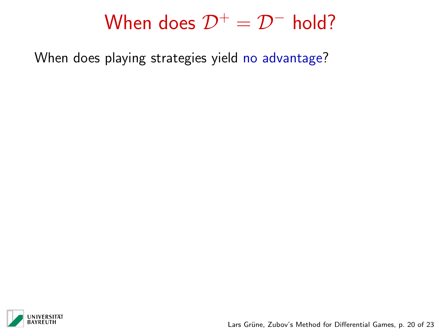When does playing strategies yield no advantage?



Lars Grüne, Zubov's Method for Differential Games, p. 20 of 23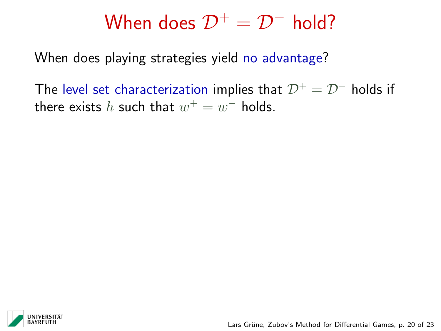When does playing strategies yield no advantage?

The level set characterization implies that  $\mathcal{D}^+ = \mathcal{D}^-$  holds if there exists  $h$  such that  $w^+ = w^-$  holds.

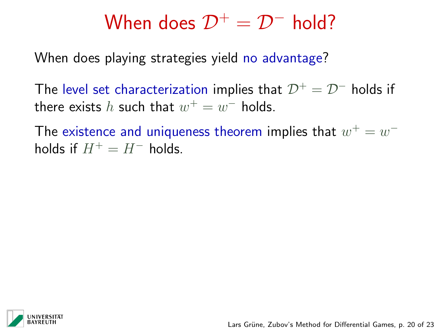When does playing strategies yield no advantage?

The level set characterization implies that  $\mathcal{D}^+ = \mathcal{D}^-$  holds if there exists  $h$  such that  $w^+ = w^-$  holds.

The existence and uniqueness theorem implies that  $w^+ = w^$ holds if  $H^+ = H^-$  holds.

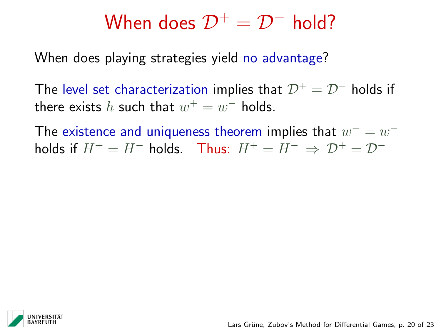When does playing strategies yield no advantage?

The level set characterization implies that  $\mathcal{D}^+ = \mathcal{D}^-$  holds if there exists  $h$  such that  $w^+ = w^-$  holds.

The existence and uniqueness theorem implies that  $w^+ = w^$ holds if  $H^+ = H^-$  holds. Thus:  $H^+ = H^- \Rightarrow \mathcal{D}^+ = \mathcal{D}^-$ 

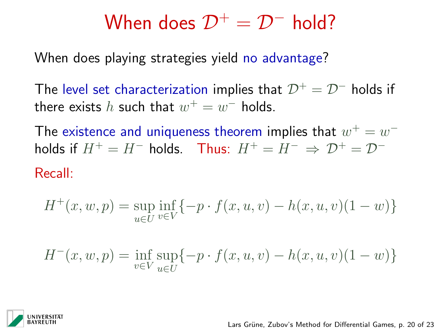When does playing strategies yield no advantage?

The level set characterization implies that  $\mathcal{D}^+ = \mathcal{D}^-$  holds if there exists  $h$  such that  $w^+ = w^-$  holds.

The existence and uniqueness theorem implies that  $w^+ = w^$ holds if  $H^+ = H^-$  holds. Thus:  $H^+ = H^- \Rightarrow \mathcal{D}^+ = \mathcal{D}^-$ 

Recall:

$$
H^+(x, w, p) = \sup_{u \in U} \inf_{v \in V} \{-p \cdot f(x, u, v) - h(x, u, v)(1 - w)\}
$$

$$
H^{-}(x, w, p) = \inf_{v \in V} \sup_{u \in U} \{-p \cdot f(x, u, v) - h(x, u, v)(1 - w)\}
$$

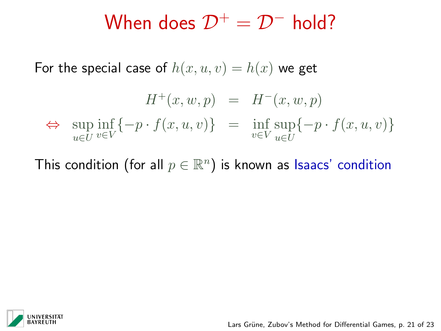For the special case of  $h(x, u, v) = h(x)$  we get

$$
H^+(x, w, p) = H^-(x, w, p)
$$
  
\n
$$
\Leftrightarrow \sup_{u \in U} \inf_{v \in V} \{-p \cdot f(x, u, v)\} = \inf_{v \in V} \sup_{u \in U} \{-p \cdot f(x, u, v)\}
$$

This condition (for all  $p\in\mathbb{R}^n)$  is known as Isaacs' condition

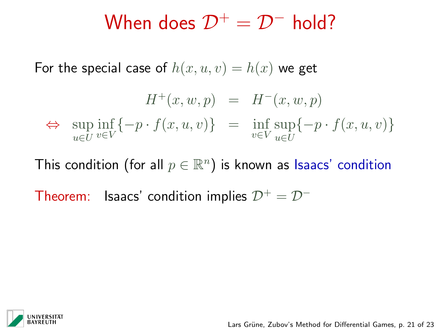For the special case of  $h(x, u, v) = h(x)$  we get

$$
H^+(x, w, p) = H^-(x, w, p)
$$
  
\n
$$
\Leftrightarrow \sup_{u \in U} \inf_{v \in V} \{-p \cdot f(x, u, v)\} = \inf_{v \in V} \sup_{u \in U} \{-p \cdot f(x, u, v)\}
$$

This condition (for all  $p\in\mathbb{R}^n)$  is known as Isaacs' condition

Theorem: Isaacs' condition implies  $\mathcal{D}^+ = \mathcal{D}^-$ 

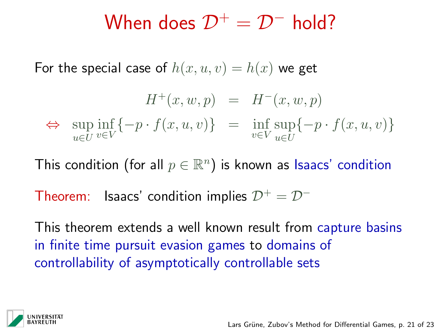For the special case of  $h(x, u, v) = h(x)$  we get

$$
H^+(x, w, p) = H^-(x, w, p)
$$
  
\n
$$
\Leftrightarrow \sup_{u \in U} \inf_{v \in V} \{-p \cdot f(x, u, v)\} = \inf_{v \in V} \sup_{u \in U} \{-p \cdot f(x, u, v)\}
$$

This condition (for all  $p\in\mathbb{R}^n)$  is known as Isaacs' condition

Theorem: Isaacs' condition implies  $\mathcal{D}^+ = \mathcal{D}^-$ 

This theorem extends a well known result from capture basins in finite time pursuit evasion games to domains of controllability of asymptotically controllable sets

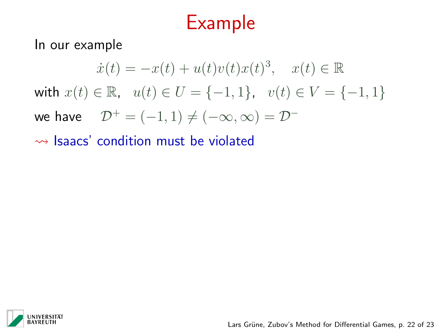In our example

$$
\dot{x}(t) = -x(t) + u(t)v(t)x(t)^3, \quad x(t) \in \mathbb{R}
$$
  
with  $x(t) \in \mathbb{R}$ ,  $u(t) \in U = \{-1, 1\}$ ,  $v(t) \in V = \{-1, 1\}$   
we have  $\mathcal{D}^+ = (-1, 1) \neq (-\infty, \infty) = \mathcal{D}^-$ 

 $\rightarrow$  Isaacs' condition must be violated

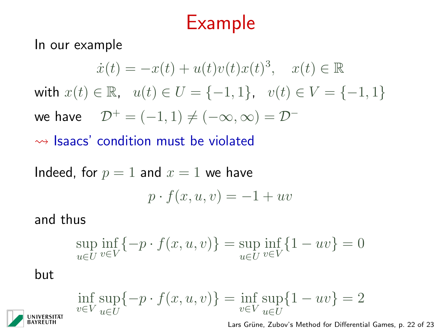In our example

$$
\dot{x}(t) = -x(t) + u(t)v(t)x(t)^3, \quad x(t) \in \mathbb{R}
$$
  
with  $x(t) \in \mathbb{R}$ ,  $u(t) \in U = \{-1, 1\}$ ,  $v(t) \in V = \{-1, 1\}$   
we have  $\mathcal{D}^+ = (-1, 1) \neq (-\infty, \infty) = \mathcal{D}^-$ 

#### $\rightarrow$  Isaacs' condition must be violated

Indeed, for  $p = 1$  and  $x = 1$  we have

$$
p \cdot f(x, u, v) = -1 + uv
$$

and thus

$$
\sup_{u \in U} \inf_{v \in V} \{-p \cdot f(x, u, v)\} = \sup_{u \in U} \inf_{v \in V} \{1 - uv\} = 0
$$

but

$$
\inf_{v \in V} \sup_{u \in U} \{-p \cdot f(x, u, v)\} = \inf_{v \in V} \sup_{u \in U} \{1 - uv\} = 2
$$

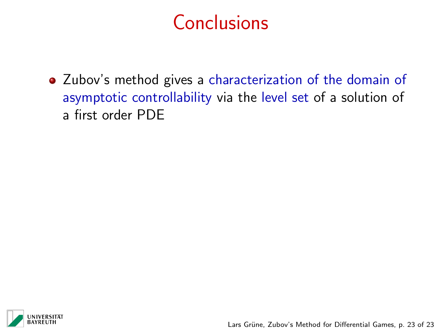Zubov's method gives a characterization of the domain of asymptotic controllability via the level set of a solution of a first order PDE

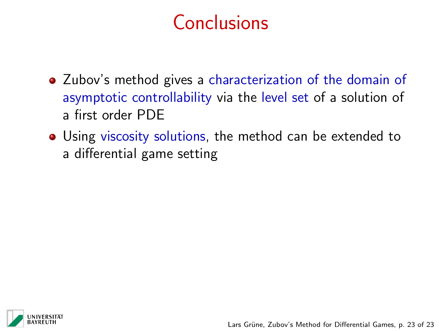- Zubov's method gives a characterization of the domain of asymptotic controllability via the level set of a solution of a first order PDE
- Using viscosity solutions, the method can be extended to a differential game setting

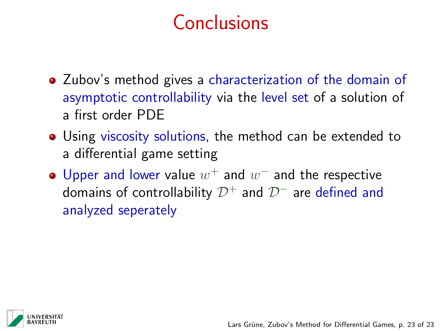- Zubov's method gives a characterization of the domain of asymptotic controllability via the level set of a solution of a first order PDE
- Using viscosity solutions, the method can be extended to a differential game setting
- Upper and lower value  $w^+$  and  $w^-$  and the respective domains of controllability  $\mathcal{D}^+$  and  $\mathcal{D}^-$  are defined and analyzed seperately